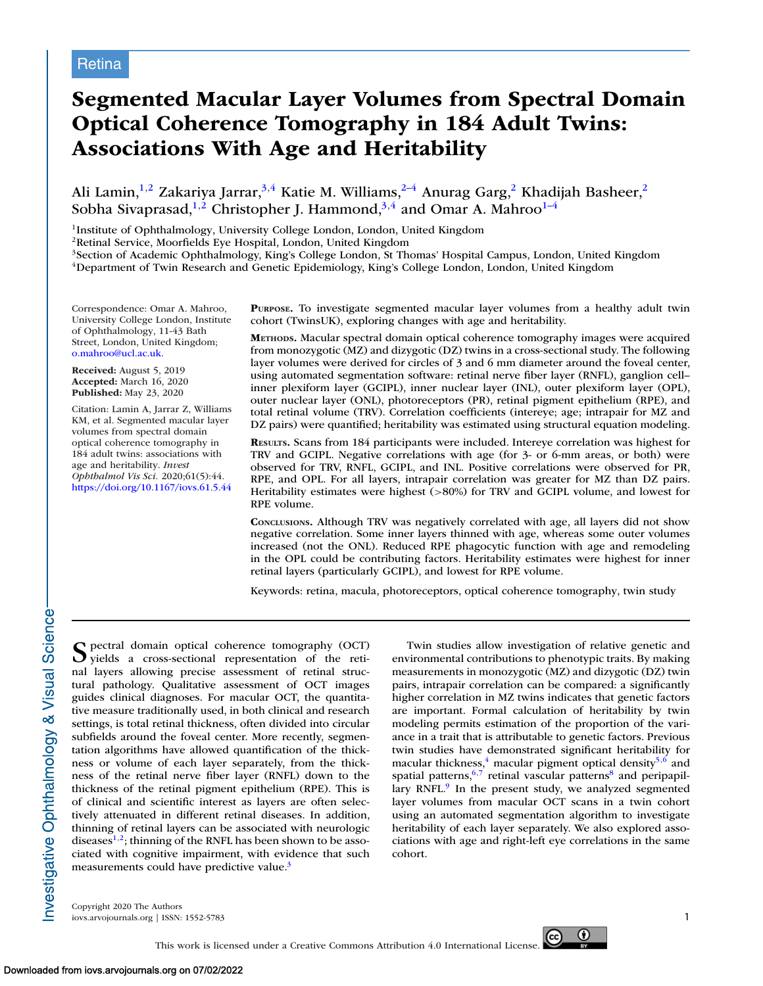# **Segmented Macular Layer Volumes from Spectral Domain Optical Coherence Tomography in 184 Adult Twins: Associations With Age and Heritability**

Ali Lamin, $^{1,2}$  Zakariya Jarrar, $^{3,4}$  Katie M. Williams, $^{2-4}$  Anurag Garg, $^2$  Khadijah Basheer, $^2$ Sobha Sivaprasad, $^{1,2}$  Christopher J. Hammond, $^{3,4}$  and Omar A. Mahroo $^{1-4}$ 

1Institute of Ophthalmology, University College London, London, United Kingdom

2Retinal Service, Moorfields Eye Hospital, London, United Kingdom

<sup>3</sup>Section of Academic Ophthalmology, King's College London, St Thomas' Hospital Campus, London, United Kingdom 4Department of Twin Research and Genetic Epidemiology, King's College London, London, United Kingdom

Correspondence: Omar A. Mahroo, University College London, Institute of Ophthalmology, 11-43 Bath Street, London, United Kingdom; [o.mahroo@ucl.ac.uk.](mailto:o.mahroo@ucl.ac.uk.)

**Received:** August 5, 2019 **Accepted:** March 16, 2020 **Published:** May 23, 2020

Citation: Lamin A, Jarrar Z, Williams KM, et al. Segmented macular layer volumes from spectral domain optical coherence tomography in 184 adult twins: associations with age and heritability. *Invest Ophthalmol Vis Sci.* 2020;61(5):44. <https://doi.org/10.1167/iovs.61.5.44>

**PURPOSE.** To investigate segmented macular layer volumes from a healthy adult twin cohort (TwinsUK), exploring changes with age and heritability.

**METHODS.** Macular spectral domain optical coherence tomography images were acquired from monozygotic (MZ) and dizygotic (DZ) twins in a cross-sectional study. The following layer volumes were derived for circles of 3 and 6 mm diameter around the foveal center, using automated segmentation software: retinal nerve fiber layer (RNFL), ganglion cell– inner plexiform layer (GCIPL), inner nuclear layer (INL), outer plexiform layer (OPL), outer nuclear layer (ONL), photoreceptors (PR), retinal pigment epithelium (RPE), and total retinal volume (TRV). Correlation coefficients (intereye; age; intrapair for MZ and DZ pairs) were quantified; heritability was estimated using structural equation modeling.

**RESULTS.** Scans from 184 participants were included. Intereye correlation was highest for TRV and GCIPL. Negative correlations with age (for 3- or 6-mm areas, or both) were observed for TRV, RNFL, GCIPL, and INL. Positive correlations were observed for PR, RPE, and OPL. For all layers, intrapair correlation was greater for MZ than DZ pairs. Heritability estimates were highest (>80%) for TRV and GCIPL volume, and lowest for RPE volume.

**CONCLUSIONS.** Although TRV was negatively correlated with age, all layers did not show negative correlation. Some inner layers thinned with age, whereas some outer volumes increased (not the ONL). Reduced RPE phagocytic function with age and remodeling in the OPL could be contributing factors. Heritability estimates were highest for inner retinal layers (particularly GCIPL), and lowest for RPE volume.

Keywords: retina, macula, photoreceptors, optical coherence tomography, twin study

S pectral domain optical coherence tomography (OCT) yields a cross-sectional representation of the retinal layers allowing precise assessment of retinal structural pathology. Qualitative assessment of OCT images guides clinical diagnoses. For macular OCT, the quantitative measure traditionally used, in both clinical and research settings, is total retinal thickness, often divided into circular subfields around the foveal center. More recently, segmentation algorithms have allowed quantification of the thickness or volume of each layer separately, from the thickness of the retinal nerve fiber layer (RNFL) down to the thickness of the retinal pigment epithelium (RPE). This is of clinical and scientific interest as layers are often selectively attenuated in different retinal diseases. In addition, thinning of retinal layers can be associated with neurologic diseases $1,2$ ; thinning of the RNFL has been shown to be associated with cognitive impairment, with evidence that such measurements could have predictive value.<sup>3</sup>

Twin studies allow investigation of relative genetic and environmental contributions to phenotypic traits. By making measurements in monozygotic (MZ) and dizygotic (DZ) twin pairs, intrapair correlation can be compared: a significantly higher correlation in MZ twins indicates that genetic factors are important. Formal calculation of heritability by twin modeling permits estimation of the proportion of the variance in a trait that is attributable to genetic factors. Previous twin studies have demonstrated significant heritability for macular thickness, $4 \text{ macular pigment optical density}^{5,6}$  $4 \text{ macular pigment optical density}^{5,6}$  $4 \text{ macular pigment optical density}^{5,6}$  and spatial patterns,  $6,7$  retinal vascular patterns $8$  and peripapillary RNFL. $9$  In the present study, we analyzed segmented layer volumes from macular OCT scans in a twin cohort using an automated segmentation algorithm to investigate heritability of each layer separately. We also explored associations with age and right-left eye correlations in the same cohort.

Copyright 2020 The Authors iovs.arvojournals.org | ISSN: 1552-5783 1



nvestigative Ophthalmology & Visual Science-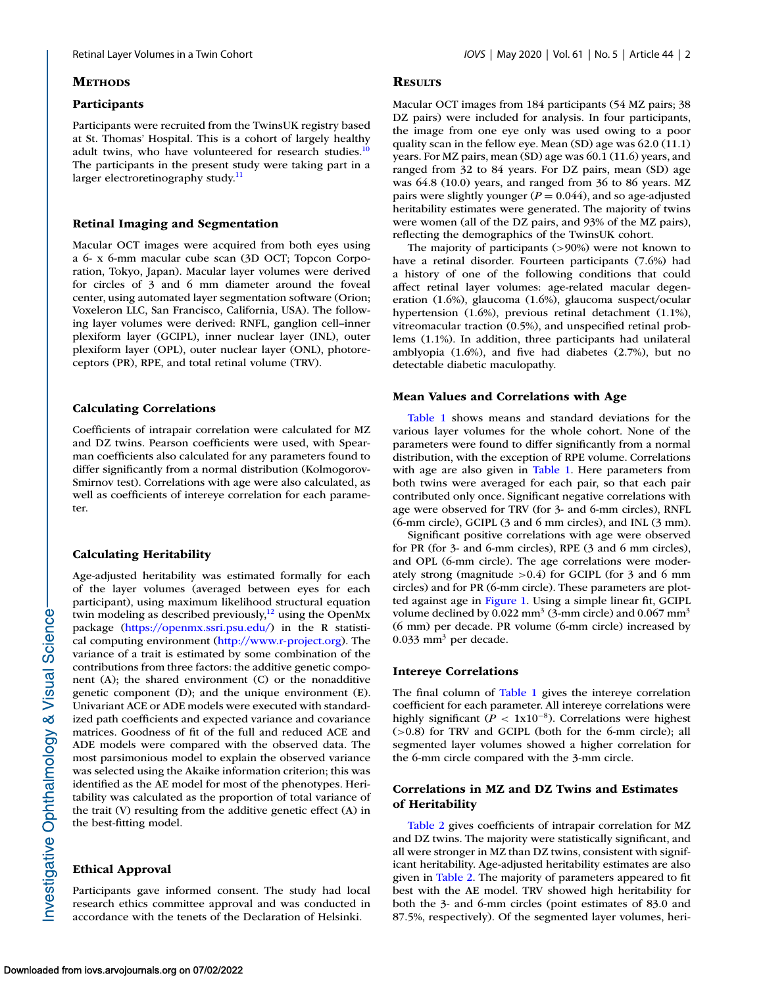## **METHODS**

#### **Participants**

Participants were recruited from the TwinsUK registry based at St. Thomas' Hospital. This is a cohort of largely healthy adult twins, who have volunteered for research studies. $10$ The participants in the present study were taking part in a larger electroretinography study. $11$ 

## **Retinal Imaging and Segmentation**

Macular OCT images were acquired from both eyes using a 6- x 6-mm macular cube scan (3D OCT; Topcon Corporation, Tokyo, Japan). Macular layer volumes were derived for circles of 3 and 6 mm diameter around the foveal center, using automated layer segmentation software (Orion; Voxeleron LLC, San Francisco, California, USA). The following layer volumes were derived: RNFL, ganglion cell–inner plexiform layer (GCIPL), inner nuclear layer (INL), outer plexiform layer (OPL), outer nuclear layer (ONL), photoreceptors (PR), RPE, and total retinal volume (TRV).

## **Calculating Correlations**

Coefficients of intrapair correlation were calculated for MZ and DZ twins. Pearson coefficients were used, with Spearman coefficients also calculated for any parameters found to differ significantly from a normal distribution (Kolmogorov-Smirnov test). Correlations with age were also calculated, as well as coefficients of intereye correlation for each parameter.

#### **Calculating Heritability**

Age-adjusted heritability was estimated formally for each of the layer volumes (averaged between eyes for each participant), using maximum likelihood structural equation twin modeling as described previously, $12$  using the OpenMx package [\(https://openmx.ssri.psu.edu/\)](https://openmx.ssri.psu.edu/) in the R statistical computing environment [\(http://www.r-project.org\)](http://www.r-project.org). The variance of a trait is estimated by some combination of the contributions from three factors: the additive genetic component (A); the shared environment (C) or the nonadditive genetic component (D); and the unique environment (E). Univariant ACE or ADE models were executed with standardized path coefficients and expected variance and covariance matrices. Goodness of fit of the full and reduced ACE and ADE models were compared with the observed data. The most parsimonious model to explain the observed variance was selected using the Akaike information criterion; this was identified as the AE model for most of the phenotypes. Heritability was calculated as the proportion of total variance of the trait (V) resulting from the additive genetic effect (A) in the best-fitting model.

### **Ethical Approval**

Participants gave informed consent. The study had local research ethics committee approval and was conducted in accordance with the tenets of the Declaration of Helsinki.

## **RESULTS**

Macular OCT images from 184 participants (54 MZ pairs; 38 DZ pairs) were included for analysis. In four participants, the image from one eye only was used owing to a poor quality scan in the fellow eye. Mean (SD) age was 62.0 (11.1) years. For MZ pairs, mean (SD) age was 60.1 (11.6) years, and ranged from 32 to 84 years. For DZ pairs, mean (SD) age was 64.8 (10.0) years, and ranged from 36 to 86 years. MZ pairs were slightly younger  $(P = 0.044)$ , and so age-adjusted heritability estimates were generated. The majority of twins were women (all of the DZ pairs, and 93% of the MZ pairs), reflecting the demographics of the TwinsUK cohort.

The majority of participants (>90%) were not known to have a retinal disorder. Fourteen participants (7.6%) had a history of one of the following conditions that could affect retinal layer volumes: age-related macular degeneration (1.6%), glaucoma (1.6%), glaucoma suspect/ocular hypertension (1.6%), previous retinal detachment (1.1%), vitreomacular traction (0.5%), and unspecified retinal problems (1.1%). In addition, three participants had unilateral amblyopia (1.6%), and five had diabetes (2.7%), but no detectable diabetic maculopathy.

#### **Mean Values and Correlations with Age**

[Table 1](#page-2-0) shows means and standard deviations for the various layer volumes for the whole cohort. None of the parameters were found to differ significantly from a normal distribution, with the exception of RPE volume. Correlations with age are also given in [Table 1.](#page-2-0) Here parameters from both twins were averaged for each pair, so that each pair contributed only once. Significant negative correlations with age were observed for TRV (for 3- and 6-mm circles), RNFL (6-mm circle), GCIPL (3 and 6 mm circles), and INL (3 mm).

Significant positive correlations with age were observed for PR (for 3- and 6-mm circles), RPE (3 and 6 mm circles), and OPL (6-mm circle). The age correlations were moderately strong (magnitude  $>0.4$ ) for GCIPL (for 3 and 6 mm circles) and for PR (6-mm circle). These parameters are plotted against age in [Figure 1.](#page-2-0) Using a simple linear fit, GCIPL volume declined by  $0.022 \text{ mm}^3$  (3-mm circle) and  $0.067 \text{ mm}^3$ (6 mm) per decade. PR volume (6-mm circle) increased by  $0.033$  mm<sup>3</sup> per decade.

## **Intereye Correlations**

The final column of [Table 1](#page-2-0) gives the intereye correlation coefficient for each parameter. All intereye correlations were highly significant ( $P < 1x10^{-8}$ ). Correlations were highest (>0.8) for TRV and GCIPL (both for the 6-mm circle); all segmented layer volumes showed a higher correlation for the 6-mm circle compared with the 3-mm circle.

# **Correlations in MZ and DZ Twins and Estimates of Heritability**

[Table 2](#page-3-0) gives coefficients of intrapair correlation for MZ and DZ twins. The majority were statistically significant, and all were stronger in MZ than DZ twins, consistent with significant heritability. Age-adjusted heritability estimates are also given in [Table 2.](#page-3-0) The majority of parameters appeared to fit best with the AE model. TRV showed high heritability for both the 3- and 6-mm circles (point estimates of 83.0 and 87.5%, respectively). Of the segmented layer volumes, heri-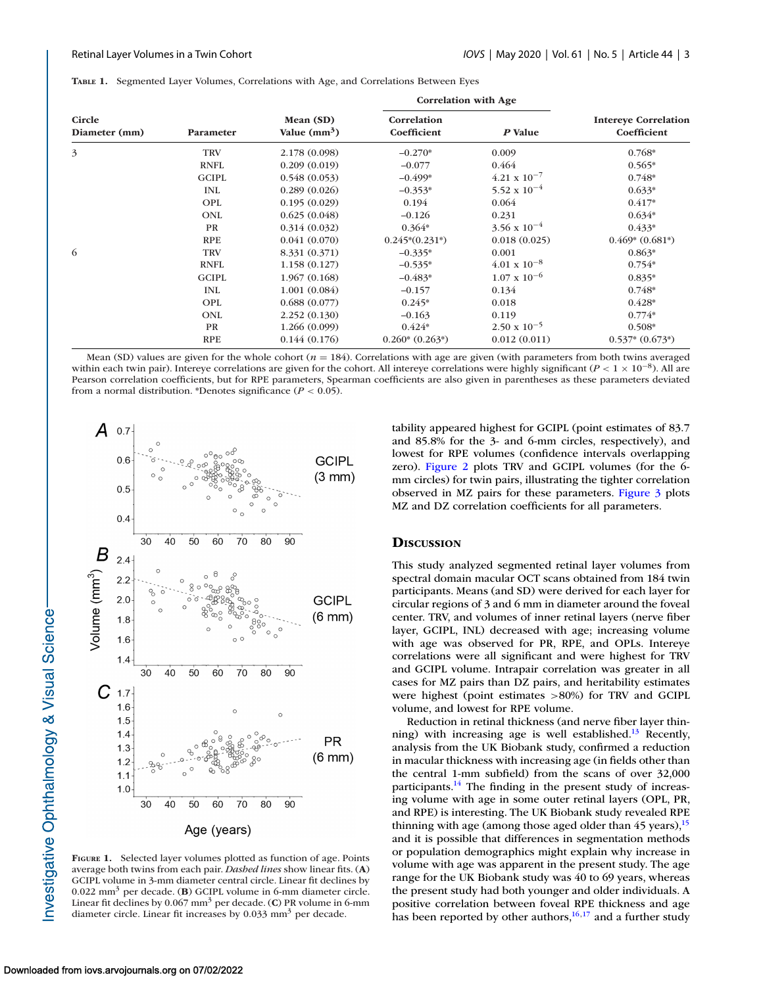<span id="page-2-0"></span>

|  |  |  |  |  | TABLE 1. Segmented Layer Volumes, Correlations with Age, and Correlations Between Eyes |  |  |  |
|--|--|--|--|--|----------------------------------------------------------------------------------------|--|--|--|
|--|--|--|--|--|----------------------------------------------------------------------------------------|--|--|--|

|                                |                  |                                       | <b>Correlation with Age</b> |                       |                                            |  |
|--------------------------------|------------------|---------------------------------------|-----------------------------|-----------------------|--------------------------------------------|--|
| <b>Circle</b><br>Diameter (mm) | <b>Parameter</b> | Mean (SD)<br>Value (mm <sup>3</sup> ) | Correlation<br>Coefficient  | P Value               | <b>Intereye Correlation</b><br>Coefficient |  |
| 3                              | <b>TRV</b>       | 2.178 (0.098)                         | $-0.270*$                   | 0.009                 | $0.768*$                                   |  |
|                                | <b>RNFL</b>      | 0.209(0.019)                          | $-0.077$                    | 0.464                 | $0.565*$                                   |  |
|                                | <b>GCIPL</b>     | 0.548(0.053)                          | $-0.499*$                   | $4.21 \times 10^{-7}$ | 0.748*                                     |  |
|                                | <b>INL</b>       | 0.289(0.026)                          | $-0.353*$                   | 5.52 x $10^{-4}$      | $0.633*$                                   |  |
|                                | OPL              | 0.195(0.029)                          | 0.194                       | 0.064                 | $0.417*$                                   |  |
|                                | <b>ONL</b>       | 0.625(0.048)                          | $-0.126$                    | 0.231                 | $0.634*$                                   |  |
|                                | <b>PR</b>        | 0.314(0.032)                          | $0.364*$                    | $3.56 \times 10^{-4}$ | $0.433*$                                   |  |
|                                | <b>RPE</b>       | 0.041(0.070)                          | $0.245*(0.231*)$            | 0.018(0.025)          | $0.469*(0.681*)$                           |  |
| 6                              | <b>TRV</b>       | 8.331 (0.371)                         | $-0.335*$                   | 0.001                 | $0.863*$                                   |  |
|                                | <b>RNFL</b>      | 1.158(0.127)                          | $-0.535*$                   | $4.01 \times 10^{-8}$ | $0.754*$                                   |  |
|                                | <b>GCIPL</b>     | 1.967(0.168)                          | $-0.483*$                   | $1.07 \times 10^{-6}$ | $0.835*$                                   |  |
|                                | <b>INL</b>       | 1.001(0.084)                          | $-0.157$                    | 0.134                 | $0.748*$                                   |  |
|                                | OPL              | 0.688(0.077)                          | $0.245*$                    | 0.018                 | $0.428*$                                   |  |
|                                | <b>ONL</b>       | 2.252(0.130)                          | $-0.163$                    | 0.119                 | $0.774*$                                   |  |
|                                | PR               | 1.266(0.099)                          | $0.424*$                    | $2.50 \times 10^{-5}$ | $0.508*$                                   |  |
|                                | <b>RPE</b>       | 0.144(0.176)                          | $0.260*(0.263))$            | 0.012(0.011)          | $0.537*(0.673))$                           |  |

Mean (SD) values are given for the whole cohort  $(n = 184)$ . Correlations with age are given (with parameters from both twins averaged within each twin pair). Intereye correlations are given for the cohort. All intereye correlations were highly significant ( $P < 1 \times 10^{-8}$ ). All are Pearson correlation coefficients, but for RPE parameters, Spearman coefficients are also given in parentheses as these parameters deviated from a normal distribution. \*Denotes significance (*P* < 0.05).



**FIGURE 1.** Selected layer volumes plotted as function of age. Points average both twins from each pair. *Dashed lines* show linear fits. (**A**) GCIPL volume in 3-mm diameter central circle. Linear fit declines by 0.022 mm3 per decade. (**B**) GCIPL volume in 6-mm diameter circle. Linear fit declines by 0.067 mm3 per decade. (**C**) PR volume in 6-mm diameter circle. Linear fit increases by 0.033 mm<sup>3</sup> per decade.

tability appeared highest for GCIPL (point estimates of 83.7 and 85.8% for the 3- and 6-mm circles, respectively), and lowest for RPE volumes (confidence intervals overlapping zero). [Figure 2](#page-3-0) plots TRV and GCIPL volumes (for the 6 mm circles) for twin pairs, illustrating the tighter correlation observed in MZ pairs for these parameters. [Figure 3](#page-4-0) plots MZ and DZ correlation coefficients for all parameters.

## **DISCUSSION**

This study analyzed segmented retinal layer volumes from spectral domain macular OCT scans obtained from 184 twin participants. Means (and SD) were derived for each layer for circular regions of 3 and 6 mm in diameter around the foveal center. TRV, and volumes of inner retinal layers (nerve fiber layer, GCIPL, INL) decreased with age; increasing volume with age was observed for PR, RPE, and OPLs. Intereye correlations were all significant and were highest for TRV and GCIPL volume. Intrapair correlation was greater in all cases for MZ pairs than DZ pairs, and heritability estimates were highest (point estimates >80%) for TRV and GCIPL volume, and lowest for RPE volume.

Reduction in retinal thickness (and nerve fiber layer thinning) with increasing age is well established.<sup>13</sup> Recently, analysis from the UK Biobank study, confirmed a reduction in macular thickness with increasing age (in fields other than the central 1-mm subfield) from the scans of over 32,000 participants.<sup>14</sup> The finding in the present study of increasing volume with age in some outer retinal layers (OPL, PR, and RPE) is interesting. The UK Biobank study revealed RPE thinning with age (among those aged older than  $45$  years),  $15$ and it is possible that differences in segmentation methods or population demographics might explain why increase in volume with age was apparent in the present study. The age range for the UK Biobank study was 40 to 69 years, whereas the present study had both younger and older individuals. A positive correlation between foveal RPE thickness and age has been reported by other authors,  $16,17$  and a further study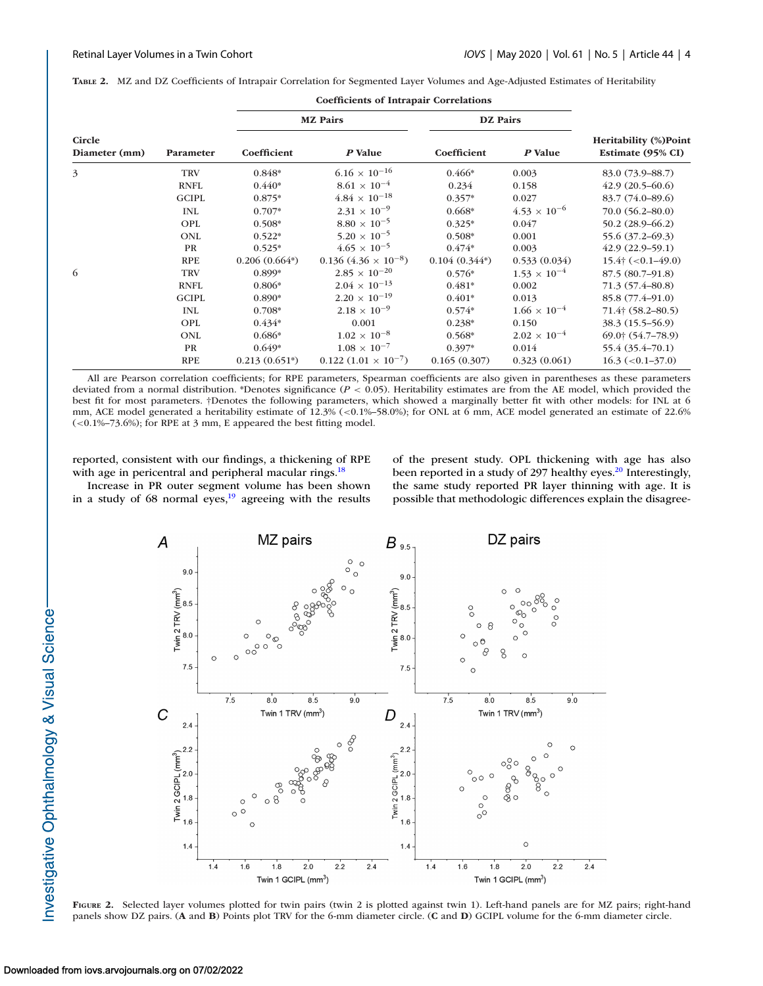|                         |              |                 | <b>MZ</b> Pairs              | <b>DZ</b> Pairs |                       |                                                   |  |  |
|-------------------------|--------------|-----------------|------------------------------|-----------------|-----------------------|---------------------------------------------------|--|--|
| Circle<br>Diameter (mm) | Parameter    | Coefficient     | P Value                      | Coefficient     | P Value               | <b>Heritability (%)Point</b><br>Estimate (95% CI) |  |  |
| 3                       | <b>TRV</b>   | $0.848*$        | $6.16 \times 10^{-16}$       | $0.466*$        | 0.003                 | 83.0 (73.9–88.7)                                  |  |  |
|                         | <b>RNFL</b>  | $0.440*$        | $8.61$ $\times$ $10^{-4}$    | 0.234           | 0.158                 | $42.9(20.5-60.6)$                                 |  |  |
|                         | <b>GCIPL</b> | $0.875*$        | $4.84\,\times\,10^{-18}$     | $0.357*$        | 0.027                 | 83.7 (74.0-89.6)                                  |  |  |
|                         | <b>INL</b>   | $0.707*$        | $2.31 \times 10^{-9}$        | $0.668*$        | $4.53 \times 10^{-6}$ | $70.0 (56.2 - 80.0)$                              |  |  |
|                         | OPL          | $0.508*$        | $8.80 \times 10^{-5}$        | $0.325*$        | 0.047                 | $50.2(28.9 - 66.2)$                               |  |  |
|                         | ONL          | $0.522*$        | $5.20 \times 10^{-5}$        | $0.508*$        | 0.001                 | 55.6 (37.2–69.3)                                  |  |  |
|                         | PR           | $0.525*$        | $4.65 \times 10^{-5}$        | $0.474*$        | 0.003                 | $42.9(22.9-59.1)$                                 |  |  |
|                         | <b>RPE</b>   | $0.206(0.664*)$ | $0.136(4.36\times10^{-8})$   | $0.104(0.344*)$ | 0.533(0.034)          | $15.4^{\circ}$ (<0.1-49.0)                        |  |  |
| 6                       | <b>TRV</b>   | 0.899*          | $2.85 \times 10^{-20}$       | $0.576*$        | $1.53 \times 10^{-4}$ | 87.5 (80.7–91.8)                                  |  |  |
|                         | <b>RNFL</b>  | $0.806*$        | $2.04\times10^{-13}$         | $0.481*$        | 0.002                 | 71.3 (57.4–80.8)                                  |  |  |
|                         | <b>GCIPL</b> | 0.890*          | $2.20 \times 10^{-19}$       | $0.401*$        | 0.013                 | 85.8 (77.4–91.0)                                  |  |  |
|                         | <b>INL</b>   | $0.708*$        | $2.18 \times 10^{-9}$        | $0.574*$        | $1.66 \times 10^{-4}$ | $71.4$ † (58.2–80.5)                              |  |  |
|                         | <b>OPL</b>   | $0.434*$        | 0.001                        | $0.238*$        | 0.150                 | 38.3 (15.5–56.9)                                  |  |  |
|                         | ONL          | $0.686*$        | $1.02 \times 10^{-8}$        | $0.568*$        | $2.02 \times 10^{-4}$ | 69.0† (54.7–78.9)                                 |  |  |
|                         | PR           | $0.649*$        | $1.08 \times 10^{-7}$        | $0.397*$        | 0.014                 | 55.4 (35.4-70.1)                                  |  |  |
|                         | <b>RPE</b>   | $0.213(0.651*)$ | $0.122(1.01 \times 10^{-7})$ | 0.165(0.307)    | 0.323(0.061)          | $16.3 \left( <0.1 - 37.0 \right)$                 |  |  |

<span id="page-3-0"></span>

|  |  |  |  |  |  |  |  | TABLE 2. MZ and DZ Coefficients of Intrapair Correlation for Segmented Layer Volumes and Age-Adjusted Estimates of Heritability |  |  |  |
|--|--|--|--|--|--|--|--|---------------------------------------------------------------------------------------------------------------------------------|--|--|--|
|--|--|--|--|--|--|--|--|---------------------------------------------------------------------------------------------------------------------------------|--|--|--|

All are Pearson correlation coefficients; for RPE parameters, Spearman coefficients are also given in parentheses as these parameters deviated from a normal distribution. \*Denotes significance (*P* < 0.05). Heritability estimates are from the AE model, which provided the best fit for most parameters. †Denotes the following parameters, which showed a marginally better fit with other models: for INL at 6 mm, ACE model generated a heritability estimate of 12.3% (<0.1%–58.0%); for ONL at 6 mm, ACE model generated an estimate of 22.6%  $(<0.1\%$ -73.6%); for RPE at 3 mm, E appeared the best fitting model.

reported, consistent with our findings, a thickening of RPE with age in pericentral and peripheral macular rings.<sup>18</sup>

Increase in PR outer segment volume has been shown in a study of  $68$  normal eyes,<sup>19</sup> agreeing with the results of the present study. OPL thickening with age has also been reported in a study of 297 healthy eyes.<sup>20</sup> Interestingly, the same study reported PR layer thinning with age. It is possible that methodologic differences explain the disagree-



**FIGURE 2.** Selected layer volumes plotted for twin pairs (twin 2 is plotted against twin 1). Left-hand panels are for MZ pairs; right-hand panels show DZ pairs. (**A** and **B**) Points plot TRV for the 6-mm diameter circle. (**C** and **D**) GCIPL volume for the 6-mm diameter circle.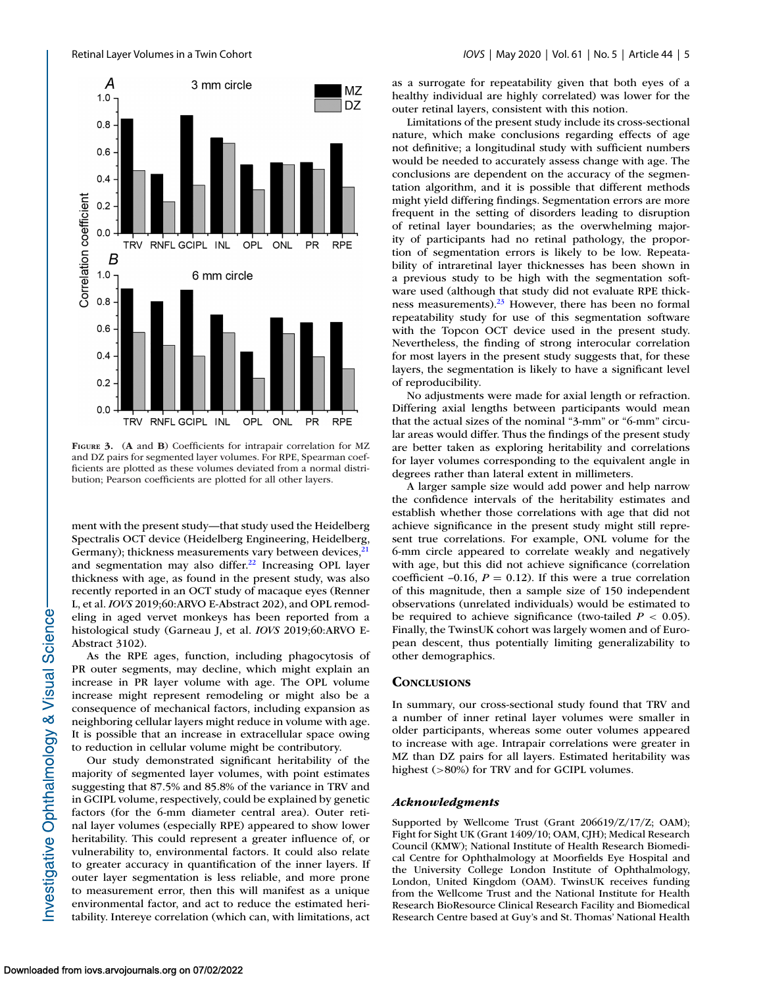<span id="page-4-0"></span>

**FIGURE 3.** (**A** and **B**) Coefficients for intrapair correlation for MZ and DZ pairs for segmented layer volumes. For RPE, Spearman coefficients are plotted as these volumes deviated from a normal distribution; Pearson coefficients are plotted for all other layers.

ment with the present study—that study used the Heidelberg Spectralis OCT device (Heidelberg Engineering, Heidelberg, Germany); thickness measurements vary between devices,<sup>2</sup> and segmentation may also differ.<sup>22</sup> Increasing OPL layer thickness with age, as found in the present study, was also recently reported in an OCT study of macaque eyes (Renner L, et al. *IOVS* 2019;60:ARVO E-Abstract 202), and OPL remodeling in aged vervet monkeys has been reported from a histological study (Garneau J, et al. *IOVS* 2019;60:ARVO E-Abstract 3102).

As the RPE ages, function, including phagocytosis of PR outer segments, may decline, which might explain an increase in PR layer volume with age. The OPL volume increase might represent remodeling or might also be a consequence of mechanical factors, including expansion as neighboring cellular layers might reduce in volume with age. It is possible that an increase in extracellular space owing to reduction in cellular volume might be contributory.

Our study demonstrated significant heritability of the majority of segmented layer volumes, with point estimates suggesting that 87.5% and 85.8% of the variance in TRV and in GCIPL volume, respectively, could be explained by genetic factors (for the 6-mm diameter central area). Outer retinal layer volumes (especially RPE) appeared to show lower heritability. This could represent a greater influence of, or vulnerability to, environmental factors. It could also relate to greater accuracy in quantification of the inner layers. If outer layer segmentation is less reliable, and more prone to measurement error, then this will manifest as a unique environmental factor, and act to reduce the estimated heritability. Intereye correlation (which can, with limitations, act

as a surrogate for repeatability given that both eyes of a healthy individual are highly correlated) was lower for the outer retinal layers, consistent with this notion.

Limitations of the present study include its cross-sectional nature, which make conclusions regarding effects of age not definitive; a longitudinal study with sufficient numbers would be needed to accurately assess change with age. The conclusions are dependent on the accuracy of the segmentation algorithm, and it is possible that different methods might yield differing findings. Segmentation errors are more frequent in the setting of disorders leading to disruption of retinal layer boundaries; as the overwhelming majority of participants had no retinal pathology, the proportion of segmentation errors is likely to be low. Repeatability of intraretinal layer thicknesses has been shown in a previous study to be high with the segmentation software used (although that study did not evaluate RPE thickness measurements). $^{23}$  However, there has been no formal repeatability study for use of this segmentation software with the Topcon OCT device used in the present study. Nevertheless, the finding of strong interocular correlation for most layers in the present study suggests that, for these layers, the segmentation is likely to have a significant level of reproducibility.

No adjustments were made for axial length or refraction. Differing axial lengths between participants would mean that the actual sizes of the nominal "3-mm" or "6-mm" circular areas would differ. Thus the findings of the present study are better taken as exploring heritability and correlations for layer volumes corresponding to the equivalent angle in degrees rather than lateral extent in millimeters.

A larger sample size would add power and help narrow the confidence intervals of the heritability estimates and establish whether those correlations with age that did not achieve significance in the present study might still represent true correlations. For example, ONL volume for the 6-mm circle appeared to correlate weakly and negatively with age, but this did not achieve significance (correlation coefficient  $-0.16$ ,  $P = 0.12$ ). If this were a true correlation of this magnitude, then a sample size of 150 independent observations (unrelated individuals) would be estimated to be required to achieve significance (two-tailed  $P < 0.05$ ). Finally, the TwinsUK cohort was largely women and of European descent, thus potentially limiting generalizability to other demographics.

#### **CONCLUSIONS**

In summary, our cross-sectional study found that TRV and a number of inner retinal layer volumes were smaller in older participants, whereas some outer volumes appeared to increase with age. Intrapair correlations were greater in MZ than DZ pairs for all layers. Estimated heritability was highest (>80%) for TRV and for GCIPL volumes.

#### *Acknowledgments*

Supported by Wellcome Trust (Grant 206619/Z/17/Z; OAM); Fight for Sight UK (Grant 1409/10; OAM, CJH); Medical Research Council (KMW); National Institute of Health Research Biomedical Centre for Ophthalmology at Moorfields Eye Hospital and the University College London Institute of Ophthalmology, London, United Kingdom (OAM). TwinsUK receives funding from the Wellcome Trust and the National Institute for Health Research BioResource Clinical Research Facility and Biomedical Research Centre based at Guy's and St. Thomas' National Health